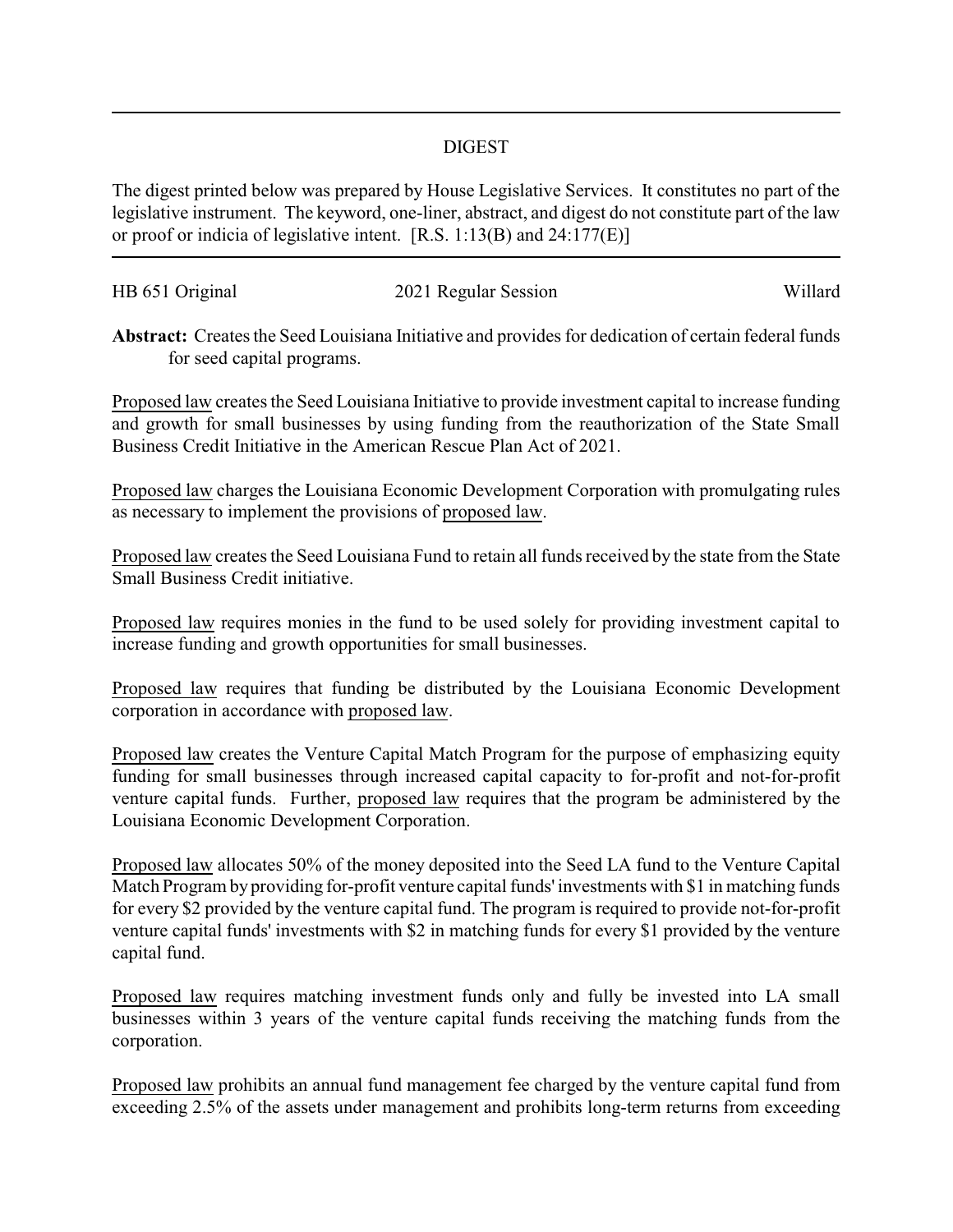## DIGEST

The digest printed below was prepared by House Legislative Services. It constitutes no part of the legislative instrument. The keyword, one-liner, abstract, and digest do not constitute part of the law or proof or indicia of legislative intent. [R.S. 1:13(B) and 24:177(E)]

| HB 651 Original | 2021 Regular Session | Willard |
|-----------------|----------------------|---------|
|                 |                      |         |

**Abstract:** Creates the Seed Louisiana Initiative and provides for dedication of certain federal funds for seed capital programs.

Proposed law creates the Seed Louisiana Initiative to provide investment capital to increase funding and growth for small businesses by using funding from the reauthorization of the State Small Business Credit Initiative in the American Rescue Plan Act of 2021.

Proposed law charges the Louisiana Economic Development Corporation with promulgating rules as necessary to implement the provisions of proposed law.

Proposed law creates the Seed Louisiana Fund to retain all funds received by the state from the State Small Business Credit initiative.

Proposed law requires monies in the fund to be used solely for providing investment capital to increase funding and growth opportunities for small businesses.

Proposed law requires that funding be distributed by the Louisiana Economic Development corporation in accordance with proposed law.

Proposed law creates the Venture Capital Match Program for the purpose of emphasizing equity funding for small businesses through increased capital capacity to for-profit and not-for-profit venture capital funds. Further, proposed law requires that the program be administered by the Louisiana Economic Development Corporation.

Proposed law allocates 50% of the money deposited into the Seed LA fund to the Venture Capital Match Program by providing for-profit venture capital funds' investments with \$1 in matching funds for every \$2 provided by the venture capital fund. The program is required to provide not-for-profit venture capital funds' investments with \$2 in matching funds for every \$1 provided by the venture capital fund.

Proposed law requires matching investment funds only and fully be invested into LA small businesses within 3 years of the venture capital funds receiving the matching funds from the corporation.

Proposed law prohibits an annual fund management fee charged by the venture capital fund from exceeding 2.5% of the assets under management and prohibits long-term returns from exceeding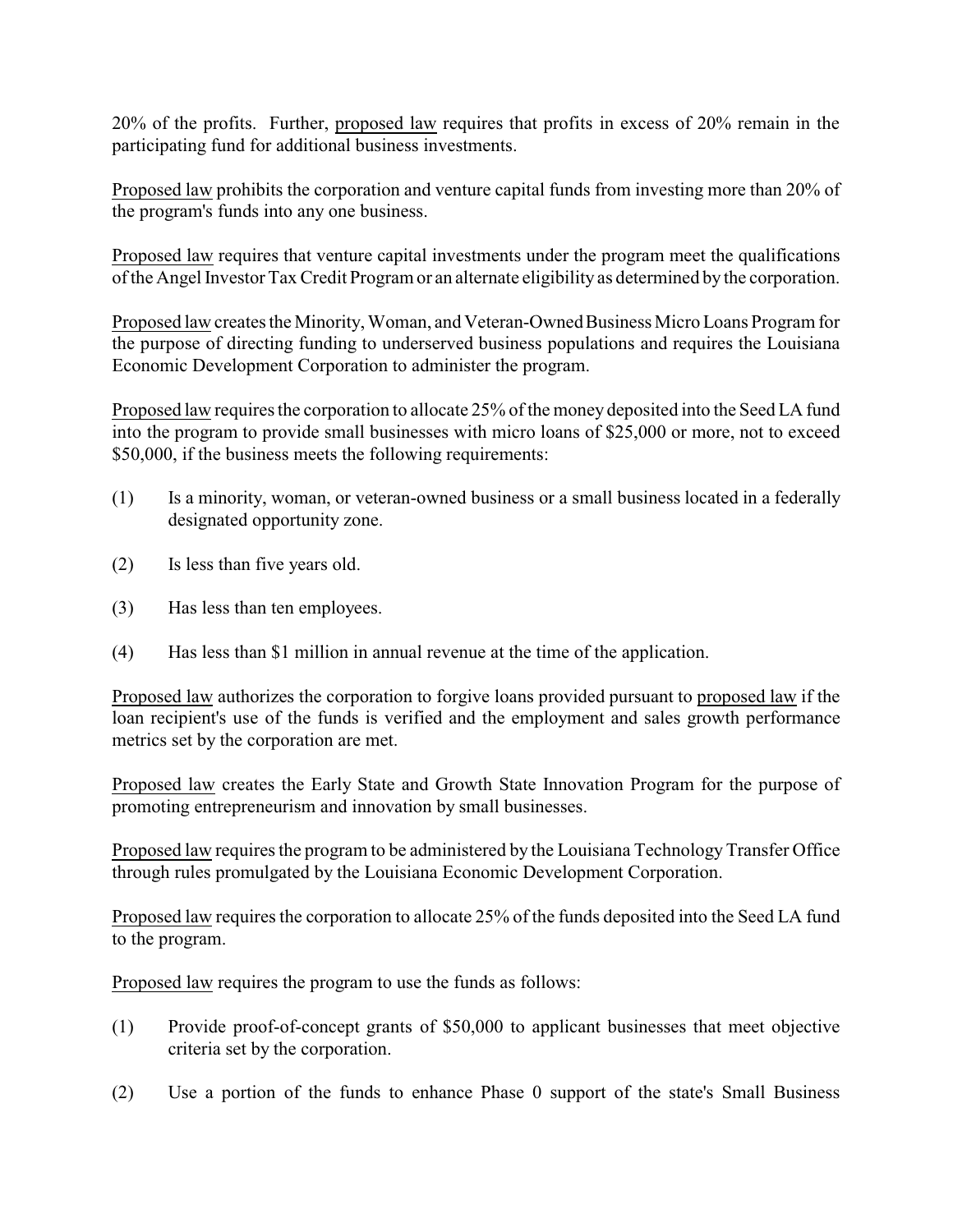20% of the profits. Further, proposed law requires that profits in excess of 20% remain in the participating fund for additional business investments.

Proposed law prohibits the corporation and venture capital funds from investing more than 20% of the program's funds into any one business.

Proposed law requires that venture capital investments under the program meet the qualifications of the Angel Investor TaxCredit Program or an alternate eligibility as determined by the corporation.

Proposed law creates the Minority, Woman, and Veteran-Owned Business Micro Loans Program for the purpose of directing funding to underserved business populations and requires the Louisiana Economic Development Corporation to administer the program.

Proposed law requires the corporation to allocate 25% of the money deposited into the Seed LA fund into the program to provide small businesses with micro loans of \$25,000 or more, not to exceed \$50,000, if the business meets the following requirements:

- (1) Is a minority, woman, or veteran-owned business or a small business located in a federally designated opportunity zone.
- (2) Is less than five years old.
- (3) Has less than ten employees.
- (4) Has less than \$1 million in annual revenue at the time of the application.

Proposed law authorizes the corporation to forgive loans provided pursuant to proposed law if the loan recipient's use of the funds is verified and the employment and sales growth performance metrics set by the corporation are met.

Proposed law creates the Early State and Growth State Innovation Program for the purpose of promoting entrepreneurism and innovation by small businesses.

Proposed law requires the program to be administered by the Louisiana Technology Transfer Office through rules promulgated by the Louisiana Economic Development Corporation.

Proposed law requires the corporation to allocate 25% of the funds deposited into the Seed LA fund to the program.

Proposed law requires the program to use the funds as follows:

- (1) Provide proof-of-concept grants of \$50,000 to applicant businesses that meet objective criteria set by the corporation.
- (2) Use a portion of the funds to enhance Phase 0 support of the state's Small Business